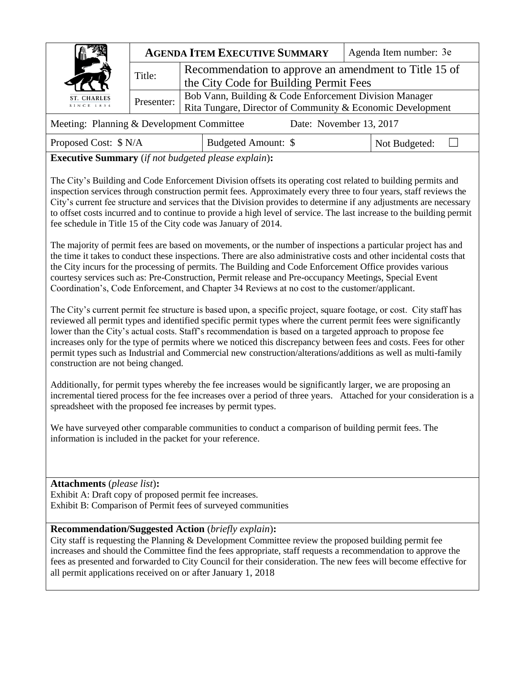|                                                                      |            | <b>AGENDA ITEM EXECUTIVE SUMMARY</b>                                                                                 | Agenda Item number: 3e |  |  |  |
|----------------------------------------------------------------------|------------|----------------------------------------------------------------------------------------------------------------------|------------------------|--|--|--|
| $\overline{\phantom{a}}$                                             | Title:     | Recommendation to approve an amendment to Title 15 of<br>the City Code for Building Permit Fees                      |                        |  |  |  |
| ST. CHARLES<br>SINCE 1834                                            | Presenter: | Bob Vann, Building & Code Enforcement Division Manager<br>Rita Tungare, Director of Community & Economic Development |                        |  |  |  |
| Meeting: Planning & Development Committee<br>Date: November 13, 2017 |            |                                                                                                                      |                        |  |  |  |

Proposed Cost: \$ N/A Budgeted Amount: \$ Not Budgeted: □

**Executive Summary** (*if not budgeted please explain*)**:**

The City's Building and Code Enforcement Division offsets its operating cost related to building permits and inspection services through construction permit fees. Approximately every three to four years, staff reviews the City's current fee structure and services that the Division provides to determine if any adjustments are necessary to offset costs incurred and to continue to provide a high level of service. The last increase to the building permit fee schedule in Title 15 of the City code was January of 2014.

The majority of permit fees are based on movements, or the number of inspections a particular project has and the time it takes to conduct these inspections. There are also administrative costs and other incidental costs that the City incurs for the processing of permits. The Building and Code Enforcement Office provides various courtesy services such as: Pre-Construction, Permit release and Pre-occupancy Meetings, Special Event Coordination's, Code Enforcement, and Chapter 34 Reviews at no cost to the customer/applicant.

The City's current permit fee structure is based upon, a specific project, square footage, or cost. City staff has reviewed all permit types and identified specific permit types where the current permit fees were significantly lower than the City's actual costs. Staff's recommendation is based on a targeted approach to propose fee increases only for the type of permits where we noticed this discrepancy between fees and costs. Fees for other permit types such as Industrial and Commercial new construction/alterations/additions as well as multi-family construction are not being changed.

Additionally, for permit types whereby the fee increases would be significantly larger, we are proposing an incremental tiered process for the fee increases over a period of three years. Attached for your consideration is a spreadsheet with the proposed fee increases by permit types.

We have surveyed other comparable communities to conduct a comparison of building permit fees. The information is included in the packet for your reference.

**Attachments** (*please list*)**:**  Exhibit A: Draft copy of proposed permit fee increases. Exhibit B: Comparison of Permit fees of surveyed communities

## **Recommendation/Suggested Action** (*briefly explain*)**:**

City staff is requesting the Planning & Development Committee review the proposed building permit fee increases and should the Committee find the fees appropriate, staff requests a recommendation to approve the fees as presented and forwarded to City Council for their consideration. The new fees will become effective for all permit applications received on or after January 1, 2018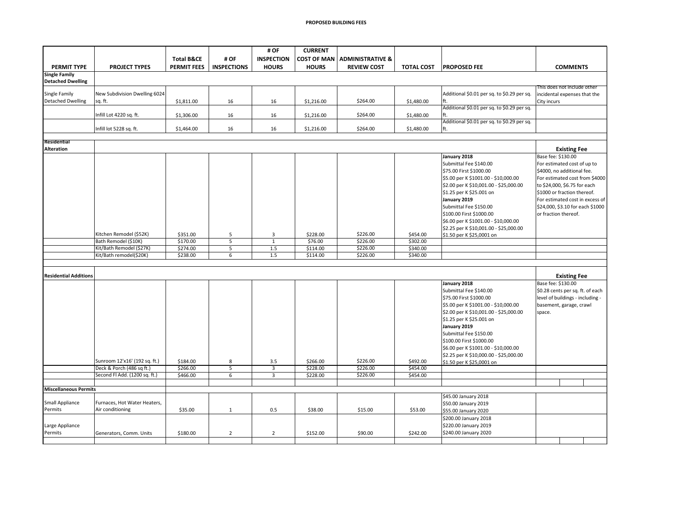|                                  |                                                  |                       |                    | # OF              | <b>CURRENT</b>     |                             |                   |                                             |                                  |                     |  |
|----------------------------------|--------------------------------------------------|-----------------------|--------------------|-------------------|--------------------|-----------------------------|-------------------|---------------------------------------------|----------------------------------|---------------------|--|
|                                  |                                                  | <b>Total B&amp;CE</b> | # OF               | <b>INSPECTION</b> | <b>COST OF MAN</b> | <b>ADMINISTRATIVE &amp;</b> |                   |                                             |                                  |                     |  |
| <b>PERMIT TYPE</b>               | <b>PROJECT TYPES</b>                             | <b>PERMIT FEES</b>    | <b>INSPECTIONS</b> | <b>HOURS</b>      | <b>HOURS</b>       | <b>REVIEW COST</b>          | <b>TOTAL COST</b> | <b>PROPOSED FEE</b>                         |                                  | <b>COMMENTS</b>     |  |
| <b>Single Family</b>             |                                                  |                       |                    |                   |                    |                             |                   |                                             |                                  |                     |  |
| <b>Detached Dwelling</b>         |                                                  |                       |                    |                   |                    |                             |                   |                                             | This does not include other      |                     |  |
| Single Family                    | New Subdivision Dwelling 6024                    |                       |                    |                   |                    |                             |                   | Additional \$0.01 per sq. to \$0.29 per sq. | incidental expenses that the     |                     |  |
| <b>Detached Dwelling</b>         | sq. ft.                                          | \$1,811.00            | 16                 | 16                | \$1,216.00         | \$264.00                    | \$1,480.00        | ft.                                         | City incurs                      |                     |  |
|                                  |                                                  |                       |                    |                   |                    |                             |                   | Additional \$0.01 per sq. to \$0.29 per sq. |                                  |                     |  |
|                                  | Infill Lot 4220 sq. ft.                          | \$1,306.00            | 16                 | 16                | \$1,216.00         | \$264.00                    | \$1,480.00        | ft.                                         |                                  |                     |  |
|                                  |                                                  |                       |                    |                   |                    |                             |                   | Additional \$0.01 per sq. to \$0.29 per sq. |                                  |                     |  |
|                                  | Infill lot 5228 sq. ft.                          | \$1,464.00            | 16                 | 16                | \$1,216.00         | \$264.00                    | \$1,480.00        | ft.                                         |                                  |                     |  |
|                                  |                                                  |                       |                    |                   |                    |                             |                   |                                             |                                  |                     |  |
| Residential<br><b>Alteration</b> |                                                  |                       |                    |                   |                    |                             |                   |                                             |                                  |                     |  |
|                                  |                                                  |                       |                    |                   |                    |                             |                   | January 2018                                | Base fee: \$130.00               | <b>Existing Fee</b> |  |
|                                  |                                                  |                       |                    |                   |                    |                             |                   | Submittal Fee \$140.00                      | For estimated cost of up to      |                     |  |
|                                  |                                                  |                       |                    |                   |                    |                             |                   | \$75.00 First \$1000.00                     | \$4000, no additional fee.       |                     |  |
|                                  |                                                  |                       |                    |                   |                    |                             |                   | \$5.00 per K\$1001.00 - \$10,000.00         | For estimated cost from \$4000   |                     |  |
|                                  |                                                  |                       |                    |                   |                    |                             |                   | \$2.00 per K \$10,001.00 - \$25,000.00      | to \$24,000, \$6.75 for each     |                     |  |
|                                  |                                                  |                       |                    |                   |                    |                             |                   | \$1.25 per K \$25.001 on                    | \$1000 or fraction thereof.      |                     |  |
|                                  |                                                  |                       |                    |                   |                    |                             |                   | January 2019                                | For estimated cost in excess of  |                     |  |
|                                  |                                                  |                       |                    |                   |                    |                             |                   | Submittal Fee \$150.00                      | \$24,000, \$3.10 for each \$1000 |                     |  |
|                                  |                                                  |                       |                    |                   |                    |                             |                   | \$100.00 First \$1000.00                    | or fraction thereof.             |                     |  |
|                                  |                                                  |                       |                    |                   |                    |                             |                   | \$6.00 per K \$1001.00 - \$10,000.00        |                                  |                     |  |
|                                  |                                                  |                       |                    |                   |                    |                             |                   | \$2.25 per K\$10,001.00 - \$25,000.00       |                                  |                     |  |
|                                  | Kitchen Remodel (\$52K)                          | \$351.00              | 5                  | 3                 | \$228.00           | \$226.00                    | \$454.00          | \$1.50 per K \$25,0001 on                   |                                  |                     |  |
|                                  | Bath Remodel (\$10K)                             | \$170.00              | 5                  | $\,1\,$           | \$76.00            | \$226.00                    | \$302.00          |                                             |                                  |                     |  |
|                                  | Kit/Bath Remodel (\$27K)                         | \$274.00              | 5                  | 1.5               | \$114.00           | \$226.00                    | \$340.00          |                                             |                                  |                     |  |
|                                  | Kit/Bath remodel(\$20K)                          | \$238.00              | 6                  | $1.5\,$           | \$114.00           | \$226.00                    | \$340.00          |                                             |                                  |                     |  |
|                                  |                                                  |                       |                    |                   |                    |                             |                   |                                             |                                  |                     |  |
| <b>Residential Additions</b>     |                                                  |                       |                    |                   |                    |                             |                   |                                             |                                  | <b>Existing Fee</b> |  |
|                                  |                                                  |                       |                    |                   |                    |                             |                   | January 2018                                | Base fee: \$130.00               |                     |  |
|                                  |                                                  |                       |                    |                   |                    |                             |                   | Submittal Fee \$140.00                      | \$0.28 cents per sq. ft. of each |                     |  |
|                                  |                                                  |                       |                    |                   |                    |                             |                   | \$75.00 First \$1000.00                     | level of buildings - including - |                     |  |
|                                  |                                                  |                       |                    |                   |                    |                             |                   | \$5.00 per K\$1001.00 - \$10,000.00         | basement, garage, crawl          |                     |  |
|                                  |                                                  |                       |                    |                   |                    |                             |                   | \$2.00 per K \$10,001.00 - \$25,000.00      | space.                           |                     |  |
|                                  |                                                  |                       |                    |                   |                    |                             |                   | \$1.25 per K \$25.001 on                    |                                  |                     |  |
|                                  |                                                  |                       |                    |                   |                    |                             |                   | January 2019                                |                                  |                     |  |
|                                  |                                                  |                       |                    |                   |                    |                             |                   | Submittal Fee \$150.00                      |                                  |                     |  |
|                                  |                                                  |                       |                    |                   |                    |                             |                   | \$100.00 First \$1000.00                    |                                  |                     |  |
|                                  |                                                  |                       |                    |                   |                    |                             |                   | \$6.00 per K\$1001.00 - \$10,000.00         |                                  |                     |  |
|                                  |                                                  |                       |                    |                   |                    |                             |                   | \$2.25 per K\$10,000.00 - \$25,000.00       |                                  |                     |  |
|                                  | Sunroom 12'x16' (192 sq. ft.)                    | \$184.00              | 8                  | 3.5               | \$266.00           | \$226.00                    | \$492.00          | \$1.50 per K \$25,0001 on                   |                                  |                     |  |
|                                  | Deck & Porch (486 sq ft.)                        | \$266.00              | 5                  | $\overline{3}$    | \$228.00           | \$226.00                    | \$454.00          |                                             |                                  |                     |  |
|                                  | Second Fl Add. (1200 sq. ft.)                    | \$466.00              | 6                  | 3                 | \$228.00           | \$226.00                    | \$454.00          |                                             |                                  |                     |  |
|                                  |                                                  |                       |                    |                   |                    |                             |                   |                                             |                                  |                     |  |
| <b>Miscellaneous Permits</b>     |                                                  |                       |                    |                   |                    |                             |                   |                                             |                                  |                     |  |
|                                  |                                                  |                       |                    |                   |                    |                             |                   | \$45.00 January 2018                        |                                  |                     |  |
| Small Appliance<br>Permits       | Furnaces, Hot Water Heaters,<br>Air conditioning |                       |                    |                   |                    |                             | \$53.00           | \$50.00 January 2019                        |                                  |                     |  |
|                                  |                                                  | \$35.00               | $\mathbf{1}$       | 0.5               | \$38.00            | \$15.00                     |                   | \$55.00 January 2020                        |                                  |                     |  |
|                                  |                                                  |                       |                    |                   |                    |                             |                   | \$200.00 January 2018                       |                                  |                     |  |
| Large Appliance                  |                                                  |                       |                    |                   |                    |                             |                   | \$220.00 January 2019                       |                                  |                     |  |
| Permits                          | Generators, Comm. Units                          | \$180.00              | $\overline{2}$     | $\overline{2}$    | \$152.00           | \$90.00                     | \$242.00          | \$240.00 January 2020                       |                                  |                     |  |
|                                  |                                                  |                       |                    |                   |                    |                             |                   |                                             |                                  |                     |  |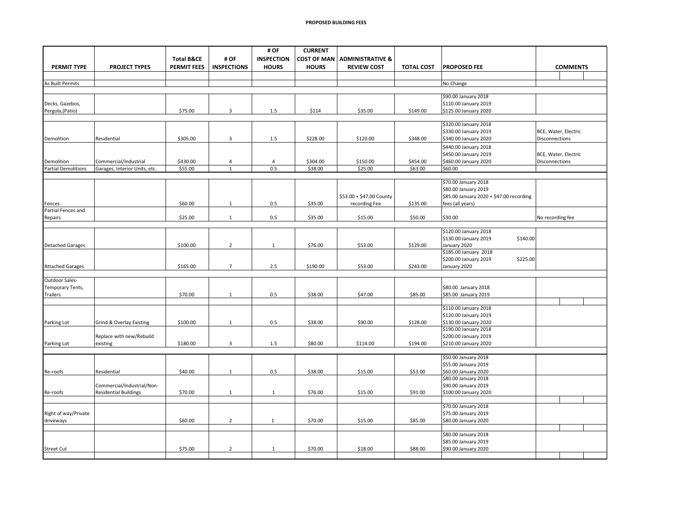|                              |                               |                       |                    | # OF              | <b>CURRENT</b>     |                             |                   |                                                   |                                        |  |  |  |
|------------------------------|-------------------------------|-----------------------|--------------------|-------------------|--------------------|-----------------------------|-------------------|---------------------------------------------------|----------------------------------------|--|--|--|
|                              |                               | <b>Total B&amp;CE</b> | # OF               | <b>INSPECTION</b> | <b>COST OF MAN</b> | <b>ADMINISTRATIVE &amp;</b> |                   |                                                   |                                        |  |  |  |
| PERMIT TYPE                  | <b>PROJECT TYPES</b>          | <b>PERMIT FEES</b>    | <b>INSPECTIONS</b> | <b>HOURS</b>      | <b>HOURS</b>       | <b>REVIEW COST</b>          | <b>TOTAL COST</b> | <b>PROPOSED FEE</b>                               | <b>COMMENTS</b>                        |  |  |  |
|                              |                               |                       |                    |                   |                    |                             |                   |                                                   |                                        |  |  |  |
| As Built Permits             |                               |                       |                    |                   |                    |                             |                   | No Change                                         |                                        |  |  |  |
|                              |                               |                       |                    |                   |                    |                             |                   | \$90.00 January 2018                              |                                        |  |  |  |
| Decks, Gazebos,              |                               |                       |                    |                   |                    |                             |                   | \$110.00 January 2019                             |                                        |  |  |  |
| Pergola, (Patio)             |                               | \$75.00               | $\overline{3}$     | 1.5               | \$114              | \$35.00                     | \$149.00          | \$125.00 January 2020                             |                                        |  |  |  |
|                              |                               |                       |                    |                   |                    |                             |                   |                                                   |                                        |  |  |  |
|                              |                               |                       |                    |                   |                    |                             |                   | \$320.00 January 2018                             |                                        |  |  |  |
| Demolition                   | Residential                   | \$305.00              | 3                  | $1.5\,$           | \$228.00           | \$120.00                    | \$348.00          | \$330.00 January 2019<br>\$340.00 January 2020    | BCE, Water, Electric<br>Disconnections |  |  |  |
|                              |                               |                       |                    |                   |                    |                             |                   | \$440.00 January 2018                             |                                        |  |  |  |
|                              |                               |                       |                    |                   |                    |                             |                   | \$450.00 January 2019                             | BCE, Water, Electric                   |  |  |  |
| Demolition                   | Commercial/Industrial         | \$430.00              | $\overline{4}$     | $\overline{4}$    | \$304.00           | \$150.00                    | \$454.00          | \$460.00 January 2020                             | Disconnections                         |  |  |  |
| <b>Partial Demolitions</b>   | Garages, Interior Units, etc. | \$55.00               | $\mathbf{1}$       | 0.5               | \$38.00            | \$25.00                     | \$63.00           | \$60.00                                           |                                        |  |  |  |
|                              |                               |                       |                    |                   |                    |                             |                   |                                                   |                                        |  |  |  |
|                              |                               |                       |                    |                   |                    |                             |                   | \$70.00 January 2018                              |                                        |  |  |  |
|                              |                               |                       |                    |                   |                    |                             |                   | \$80.00 January 2019                              |                                        |  |  |  |
|                              |                               |                       |                    |                   |                    | \$53.00 + \$47.00 County    |                   | \$85.00 January 2020 + \$47.00 recording          |                                        |  |  |  |
| Fences<br>Partial Fences and |                               | \$60.00               | $\mathbf{1}$       | 0.5               | \$35.00            | recording Fee               | \$135.00          | fees (all years)                                  |                                        |  |  |  |
| Repairs                      |                               | \$25.00               | $\mathbf{1}$       | 0.5               | \$35.00            | \$15.00                     | \$50.00           | \$30.00                                           | No recording fee                       |  |  |  |
|                              |                               |                       |                    |                   |                    |                             |                   |                                                   |                                        |  |  |  |
|                              |                               |                       |                    |                   |                    |                             |                   | \$120.00 January 2018                             |                                        |  |  |  |
|                              |                               |                       |                    |                   |                    |                             |                   | \$130.00 January 2019<br>\$140.00                 |                                        |  |  |  |
| <b>Detached Garages</b>      |                               | \$100.00              | $\overline{2}$     | $\mathbf{1}$      | \$76.00            | \$53.00                     | \$129.00          | January 2020                                      |                                        |  |  |  |
|                              |                               |                       |                    |                   |                    |                             |                   | \$185.00 January 2018                             |                                        |  |  |  |
| <b>Attached Garages</b>      |                               | \$165.00              | $\overline{7}$     | 2.5               | \$190.00           | \$53.00                     | \$243.00          | \$200.00 January 2019<br>\$225.00<br>January 2020 |                                        |  |  |  |
|                              |                               |                       |                    |                   |                    |                             |                   |                                                   |                                        |  |  |  |
| Outdoor Sales-               |                               |                       |                    |                   |                    |                             |                   |                                                   |                                        |  |  |  |
| Temporary Tents,             |                               |                       |                    |                   |                    |                             |                   | \$80.00 January 2018                              |                                        |  |  |  |
| Trailers                     |                               | \$70.00               | $\mathbf{1}$       | 0.5               | \$38.00            | \$47.00                     | \$85.00           | \$85.00 January 2019                              |                                        |  |  |  |
|                              |                               |                       |                    |                   |                    |                             |                   |                                                   |                                        |  |  |  |
|                              |                               |                       |                    |                   |                    |                             |                   | \$110.00 January 2018                             |                                        |  |  |  |
| Parking Lot                  | Grind & Overlay Existing      | \$100.00              | $\mathbf{1}$       | 0.5               | \$38.00            | \$90.00                     | \$128.00          | \$120.00 January 2019<br>\$130.00 January 2020    |                                        |  |  |  |
|                              |                               |                       |                    |                   |                    |                             |                   | \$190.00 January 2018                             |                                        |  |  |  |
|                              | Replace with new/Rebuild      |                       |                    |                   |                    |                             |                   | \$200.00 January 2019                             |                                        |  |  |  |
| Parking Lot                  | existing                      | \$180.00              | $\overline{3}$     | 1.5               | \$80.00            | \$114.00                    | \$194.00          | \$210.00 January 2020                             |                                        |  |  |  |
|                              |                               |                       |                    |                   |                    |                             |                   |                                                   |                                        |  |  |  |
|                              |                               |                       |                    |                   |                    |                             |                   | \$50.00 January 2018                              |                                        |  |  |  |
|                              | Residential                   | \$40.00               | $\mathbf{1}$       | $0.5\,$           | \$38.00            | \$15.00                     | \$53.00           | \$55.00 January 2019<br>\$60.00 January 2020      |                                        |  |  |  |
| Re-roofs                     |                               |                       |                    |                   |                    |                             |                   | \$80.00 January 2018                              |                                        |  |  |  |
|                              | Commercial/Industrial/Non-    |                       |                    |                   |                    |                             |                   | \$90.00 January 2019                              |                                        |  |  |  |
| Re-roofs                     | <b>Residential Buildings</b>  | \$70.00               | $\mathbf{1}$       | $\mathbf{1}$      | \$76.00            | \$15.00                     | \$91.00           | \$100.00 January 2020                             |                                        |  |  |  |
|                              |                               |                       |                    |                   |                    |                             |                   |                                                   |                                        |  |  |  |
|                              |                               |                       |                    |                   |                    |                             |                   | \$70.00 January 2018                              |                                        |  |  |  |
| Right of way/Private         |                               |                       |                    |                   |                    |                             |                   | \$75.00 January 2019                              |                                        |  |  |  |
| driveways                    |                               | \$60.00               | $\overline{2}$     | $\mathbf{1}$      | \$70.00            | \$15.00                     | \$85.00           | \$80.00 January 2020                              |                                        |  |  |  |
|                              |                               |                       |                    |                   |                    |                             |                   | \$80.00 January 2018                              |                                        |  |  |  |
|                              |                               |                       |                    |                   |                    |                             |                   | \$85.00 January 2019                              |                                        |  |  |  |
| <b>Street Cut</b>            |                               | \$75.00               | $\overline{2}$     | $\mathbf{1}$      | \$70.00            | \$18.00                     | \$88.00           | \$90.00 January 2020                              |                                        |  |  |  |
|                              |                               |                       |                    |                   |                    |                             |                   |                                                   |                                        |  |  |  |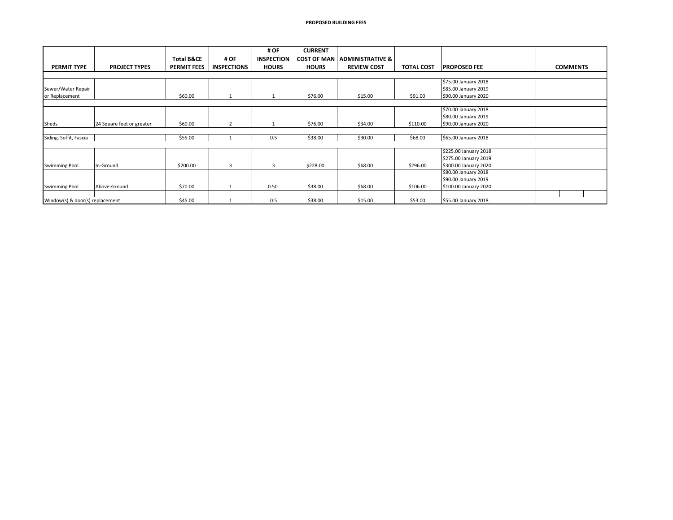|                                 |                           |                       |                    | # OF              | <b>CURRENT</b>     |                               |                   |                       |                 |
|---------------------------------|---------------------------|-----------------------|--------------------|-------------------|--------------------|-------------------------------|-------------------|-----------------------|-----------------|
|                                 |                           | <b>Total B&amp;CE</b> | # OF               | <b>INSPECTION</b> | <b>COST OF MAN</b> | <b>ADMINISTRATIVE &amp;  </b> |                   |                       |                 |
| <b>PERMIT TYPE</b>              | <b>PROJECT TYPES</b>      | <b>PERMIT FEES</b>    | <b>INSPECTIONS</b> | <b>HOURS</b>      | <b>HOURS</b>       | <b>REVIEW COST</b>            | <b>TOTAL COST</b> | <b>PROPOSED FEE</b>   | <b>COMMENTS</b> |
|                                 |                           |                       |                    |                   |                    |                               |                   |                       |                 |
|                                 |                           |                       |                    |                   |                    |                               |                   | \$75.00 January 2018  |                 |
| Sewer/Water Repair              |                           |                       |                    |                   |                    |                               |                   | \$85.00 January 2019  |                 |
| or Replacement                  |                           | \$60.00               |                    |                   | \$76.00            | \$15.00                       | \$91.00           | \$90.00 January 2020  |                 |
|                                 |                           |                       |                    |                   |                    |                               |                   | \$70.00 January 2018  |                 |
|                                 |                           |                       |                    |                   |                    |                               |                   |                       |                 |
|                                 |                           |                       |                    |                   |                    |                               |                   | \$80.00 January 2019  |                 |
| Sheds                           | 24 Square feet or greater | \$60.00               | $\overline{2}$     |                   | \$76.00            | \$34.00                       | \$110.00          | \$90.00 January 2020  |                 |
| Siding, Soffit, Fascia          |                           | \$55.00               |                    | 0.5               | \$38.00            | \$30.00                       | \$68.00           | \$65.00 January 2018  |                 |
|                                 |                           |                       |                    |                   |                    |                               |                   |                       |                 |
|                                 |                           |                       |                    |                   |                    |                               |                   | \$225.00 January 2018 |                 |
|                                 |                           |                       |                    |                   |                    |                               |                   | \$275.00 January 2019 |                 |
| <b>Swimming Pool</b>            | In-Ground                 | \$200.00              | 3                  | 3                 | \$228.00           | \$68.00                       | \$296.00          | \$300.00 January 2020 |                 |
|                                 |                           |                       |                    |                   |                    |                               |                   | \$80.00 January 2018  |                 |
|                                 |                           |                       |                    |                   |                    |                               |                   | \$90.00 January 2019  |                 |
| <b>Swimming Pool</b>            | Above-Ground              | \$70.00               |                    | 0.50              | \$38.00            | \$68.00                       | \$106.00          | \$100.00 January 2020 |                 |
|                                 |                           |                       |                    |                   |                    |                               |                   |                       |                 |
| Window(s) & door(s) replacement |                           | \$45.00               |                    | 0.5               | \$38.00            | \$15.00                       | \$53.00           | \$55.00 January 2018  |                 |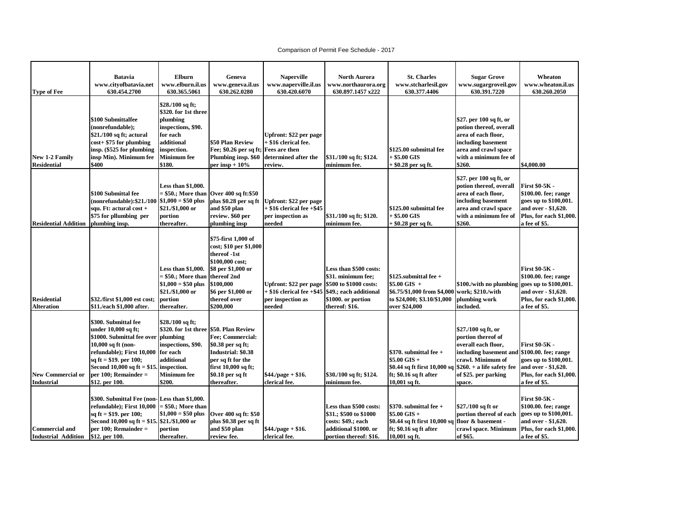## Comparison of Permit Fee Schedule - 2017

|                                                     | <b>Batavia</b>                                                                                                                                                                                                                   | Elburn                                                                                                                                                                | Geneva                                                                                                                                                                                | <b>Naperville</b>                                                                       | <b>North Aurora</b>                                                                                                                      | <b>St. Charles</b>                                                                                                                                  | <b>Sugar Grove</b>                                                                                                                                         | Wheaton                                                                                                                                   |
|-----------------------------------------------------|----------------------------------------------------------------------------------------------------------------------------------------------------------------------------------------------------------------------------------|-----------------------------------------------------------------------------------------------------------------------------------------------------------------------|---------------------------------------------------------------------------------------------------------------------------------------------------------------------------------------|-----------------------------------------------------------------------------------------|------------------------------------------------------------------------------------------------------------------------------------------|-----------------------------------------------------------------------------------------------------------------------------------------------------|------------------------------------------------------------------------------------------------------------------------------------------------------------|-------------------------------------------------------------------------------------------------------------------------------------------|
|                                                     | www.cityofbatavia.net                                                                                                                                                                                                            | www.elburn.il.us                                                                                                                                                      | www.geneva.il.us                                                                                                                                                                      | www.naperville.il.us                                                                    | www.northaurora.org                                                                                                                      | www.stcharlesil.gov                                                                                                                                 | www.sugargroveil.gov                                                                                                                                       | www.wheaton.il.us                                                                                                                         |
| <b>Type of Fee</b>                                  | 630.454.2700                                                                                                                                                                                                                     | 630.365.5061                                                                                                                                                          | 630.262.0280                                                                                                                                                                          | 630.420.6070                                                                            | 630.897.1457 x222                                                                                                                        | 630.377.4406                                                                                                                                        | 630.391.7220                                                                                                                                               | 630.260.2050                                                                                                                              |
| New 1-2 Family<br><b>Residential</b>                | \$100 Submittalfee<br>(nonrefundable);<br>\$21./100 sq ft; actural<br>$cost+$ \$75 for plumbing<br>insp. (\$525 for plumbing<br>insp Min). Minimum fee<br>\$400                                                                  | \$28./100 sq ft;<br>\$320. for 1st three<br>plumbing<br>inspections, \$90.<br>for each<br>additional<br>inspection.<br><b>Minimum</b> fee<br>\$180.                   | \$50 Plan Review<br>Fee; \$0.26 per sq ft; Fees are then<br>Plumbing insp. \$60<br>per insp + $10\%$                                                                                  | Upfront: \$22 per page<br>+ \$16 clerical fee.<br>determined after the<br>review.       | \$31./100 sq ft; \$124.<br>minimum fee.                                                                                                  | \$125.00 submittal fee<br>$+$ \$5.00 GIS<br>+ \$0.28 per sq ft.                                                                                     | \$27. per 100 sq ft, or<br>potion thereof, overall<br>area of each floor,<br>including basement<br>area and crawl space<br>with a minimum fee of<br>\$260. | \$4,000.00                                                                                                                                |
| <b>Residential Addition</b>                         | \$100 Submittal fee<br>(nonrefundable):\$21./100<br>squ. Ft: actural cost +<br>\$75 for pllumbing per<br>plumbing insp.                                                                                                          | Less than \$1,000.<br>= \$50.; More than<br>$$1,000 = $50$ plus<br>\$21./\$1,000 or<br>portion<br>thereafter.                                                         | Over 400 sq ft:\$50<br>plus \$0.28 per sq ft<br>and \$50 plan<br>review. \$60 per<br>plumbing insp                                                                                    | Upfront: \$22 per page<br>$+$ \$16 clerical fee $+$ \$45<br>per inspection as<br>needed | \$31./100 sq ft; \$120.<br>minimum fee.                                                                                                  | \$125.00 submittal fee<br>$+$ \$5.00 GIS<br>+ \$0.28 per sq ft.                                                                                     | \$27. per 100 sq ft, or<br>potion thereof, overall<br>area of each floor,<br>including basement<br>area and crawl space<br>with a minimum fee of<br>\$260. | <b>First \$0-5K -</b><br>\$100.00. fee; range<br>goes up to \$100,001.<br>and over - \$1,620.<br>Plus, for each \$1,000.<br>a fee of \$5. |
| <b>Residential</b><br><b>Alteration</b>             | \$32./first \$1,000 est cost;<br>\$11./each \$1,000 after.                                                                                                                                                                       | Less than \$1,000.<br>= \$50.; More than<br>$$1,000 = $50$ plus<br>\$21./\$1,000 or<br>portion<br>thereafter.                                                         | \$75-first 1,000 of<br>cost; \$10 per \$1,000<br>thereof -1st<br>\$100,000 cost;<br>\$8 per \$1,000 or<br>thereof 2nd<br>\$100,000<br>\$6 per \$1,000 or<br>thereof over<br>\$200,000 | Upfront: \$22 per page<br>+ \$16 clerical fee +\$45<br>per inspection as<br>needed      | Less than \$500 costs:<br>\$31. minimum fee;<br>\$500 to \$1000 costs:<br>\$49.; each additional<br>\$1000. or portion<br>thereof: \$16. | $$125$ , submittal fee +<br>\$5.00 GIS +<br>\$6.75/\$1,000 from \$4,000<br>to \$24,000; \$3.10/\$1,000<br>over \$24,000                             | \$100./with no plumbing<br>work; \$210./with<br>plumbing work<br>included.                                                                                 | <b>First \$0-5K -</b><br>\$100.00. fee; range<br>goes up to \$100,001.<br>and over - \$1,620.<br>Plus, for each \$1,000.<br>a fee of \$5. |
| <b>New Commercial or</b><br><b>Industrial</b>       | \$300. Submittal fee<br>under 10,000 sq ft;<br>\$1000. Submittal fee over<br>10,000 sq ft (non-<br>refundable); First 10,000<br>sq ft = \$19. per 100;<br>Second 10,000 sq ft = \$15.<br>per 100; Remainder =<br>\$12. per 100.  | \$28./100 sq ft;<br>\$320. for 1st three \$50. Plan Review<br>plumbing<br>inspections, \$90.<br>for each<br>additional<br>inspection.<br><b>Minimum</b> fee<br>\$200. | Fee; Commercial:<br>\$0.38 per sq ft;<br>Industrial: \$0.38<br>per sq ft for the<br>first 10,000 sq ft;<br>\$0.18 per sq ft<br>thereafter.                                            | $$44./page + $16.$<br>clerical fee.                                                     | \$30./100 sq ft; \$124.<br>minimum fee.                                                                                                  | $$370.$ submittal fee +<br>$$5.00$ GIS +<br>\$0.44 sq ft first 10,000 sq $ 260. + a $ life safety fee<br>ft; $$0.16$ sq ft after<br>$10,001$ sq ft. | \$27./100 sq ft, or<br>portion thereof of<br>overall each floor,<br>including basement and<br>crawl. Minimum of<br>of \$25. per parking<br>space.          | <b>First \$0-5K -</b><br>\$100.00. fee; range<br>goes up to \$100,001.<br>and over - \$1,620.<br>Plus, for each \$1,000.<br>a fee of \$5. |
| <b>Commercial and</b><br><b>Industrial Addition</b> | \$300. Submittal Fee (non- Less than \$1,000.<br>refundable);        First 10,000  = \$50.;        More than<br>sq ft = \$19. per 100;<br>Second 10,000 sq ft = \$15. \$21./\$1,000 or<br>per 100; Remainder =<br>\$12. per 100. | $$1,000 = $50$ plus<br>portion<br>thereafter.                                                                                                                         | Over 400 sq ft: \$50<br>plus \$0.38 per sq ft<br>and \$50 plan<br>review fee.                                                                                                         | $$44./page + $16.$<br>clerical fee.                                                     | Less than \$500 costs:<br>\$31.; \$500 to \$1000<br>costs: \$49.; each<br>additional \$1000. or<br>portion thereof: \$16.                | $$370.$ submittal fee +<br>$$5.00$ GIS +<br>\$0.44 sq ft first 10,000 sq floor & basement -<br>ft; \$0.16 sq ft after<br>10,001 sq ft.              | \$27./100 sq ft or<br>portion thereof of each<br>crawl space. Minimum<br>of \$65.                                                                          | <b>First \$0-5K -</b><br>\$100.00. fee; range<br>goes up to \$100,001.<br>and over - \$1,620.<br>Plus, for each \$1,000.<br>a fee of \$5. |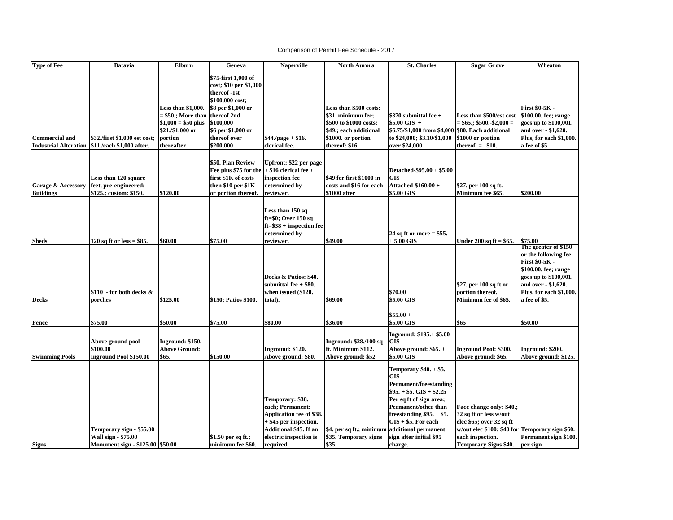## Comparison of Permit Fee Schedule - 2017

| <b>Type of Fee</b>                                    | <b>Batavia</b>                                                                             | Elburn                                                                                                        | Geneva                                                                                                                                                                                | <b>Naperville</b>                                                                                                                                           | <b>North Aurora</b>                                                                                                                      | <b>St. Charles</b>                                                                                                                                                                                                                                                       | <b>Sugar Grove</b>                                                                                                                                                                    | Wheaton                                                                                                                                                                             |
|-------------------------------------------------------|--------------------------------------------------------------------------------------------|---------------------------------------------------------------------------------------------------------------|---------------------------------------------------------------------------------------------------------------------------------------------------------------------------------------|-------------------------------------------------------------------------------------------------------------------------------------------------------------|------------------------------------------------------------------------------------------------------------------------------------------|--------------------------------------------------------------------------------------------------------------------------------------------------------------------------------------------------------------------------------------------------------------------------|---------------------------------------------------------------------------------------------------------------------------------------------------------------------------------------|-------------------------------------------------------------------------------------------------------------------------------------------------------------------------------------|
| <b>Commercial and</b><br><b>Industrial Alteration</b> | \$32./first \$1,000 est cost;<br>\$11./each \$1,000 after.                                 | Less than \$1,000.<br>= \$50.; More than<br>$$1,000 = $50$ plus<br>\$21./\$1,000 or<br>portion<br>thereafter. | \$75-first 1,000 of<br>cost; \$10 per \$1,000<br>thereof -1st<br>\$100,000 cost;<br>\$8 per \$1,000 or<br>thereof 2nd<br>\$100,000<br>\$6 per \$1,000 or<br>thereof over<br>\$200,000 | $$44./page + $16.$<br>clerical fee.                                                                                                                         | Less than \$500 costs:<br>\$31. minimum fee;<br>\$500 to \$1000 costs:<br>\$49.; each additional<br>\$1000. or portion<br>thereof: \$16. | $$370$ .submittal fee +<br>\$5.00 GIS +<br>\$6.75/\$1,000 from \$4,000 \$80. Each additional<br>to \$24,000; \$3.10/\$1,000<br>over \$24,000                                                                                                                             | Less than \$500/est cost<br>$=$ \$65.; \$500.-\$2,000 $=$<br>\$1000 or portion<br>thereof $=$ \$10.                                                                                   | First \$0-5K -<br>\$100.00. fee; range<br>goes up to \$100,001.<br>and over - \$1,620.<br>Plus, for each \$1,000.<br>a fee of \$5.                                                  |
| Garage & Accessory<br><b>Buildings</b>                | Less than 120 square<br>feet, pre-engineered:<br>\$125.; custom: \$150.                    | \$120.00                                                                                                      | \$50. Plan Review<br>Fee plus \$75 for the<br>first \$1K of costs<br>then \$10 per \$1K<br>or portion thereof.                                                                        | Upfront: \$22 per page<br>$ +$ \$16 clerical fee $+$<br>inspection fee<br>determined by<br>reviewer.                                                        | \$49 for first \$1000 in<br>costs and \$16 for each<br>\$1000 after                                                                      | Detached-\$95.00 + \$5.00<br><b>GIS</b><br>Attached-\$160.00 +<br>\$5.00 GIS                                                                                                                                                                                             | \$27. per 100 sq ft.<br>Minimum fee \$65.                                                                                                                                             | \$200.00                                                                                                                                                                            |
| <b>Sheds</b>                                          | 120 sq ft or less = $$85$ .                                                                | \$60.00                                                                                                       | \$75.00                                                                                                                                                                               | Less than 150 sq<br>ft=\$0; Over 150 sq<br>$ft = $38 + inspection fee$<br>determined by<br>reviewer.                                                        | \$49.00                                                                                                                                  | 24 sq ft or more $= $55$ .<br>$+5.00$ GIS                                                                                                                                                                                                                                | Under 200 sq ft = $$65.$                                                                                                                                                              | \$75.00                                                                                                                                                                             |
| <b>Decks</b>                                          | $$110$ - for both decks $&$<br>porches                                                     | \$125.00                                                                                                      | \$150; Patios \$100.                                                                                                                                                                  | Decks & Patios: \$40.<br>submittal fee $+$ \$80.<br>when issued (\$120.<br>total).                                                                          | \$69.00                                                                                                                                  | $$70.00 +$<br>\$5.00 GIS                                                                                                                                                                                                                                                 | \$27. per 100 sq ft or<br>portion thereof.<br>Minimum fee of \$65.                                                                                                                    | The greater of \$150<br>or the following fee:<br>First \$0-5K -<br>\$100.00. fee; range<br>goes up to \$100,001.<br>and over - \$1,620.<br>Plus, for each \$1,000.<br>a fee of \$5. |
|                                                       |                                                                                            |                                                                                                               |                                                                                                                                                                                       |                                                                                                                                                             |                                                                                                                                          | $$55.00 +$                                                                                                                                                                                                                                                               |                                                                                                                                                                                       |                                                                                                                                                                                     |
| Fence                                                 | \$75.00                                                                                    | \$50.00                                                                                                       | \$75.00                                                                                                                                                                               | \$80.00                                                                                                                                                     | \$36.00                                                                                                                                  | \$5.00 GIS                                                                                                                                                                                                                                                               | \$65                                                                                                                                                                                  | \$50.00                                                                                                                                                                             |
| <b>Swimming Pools</b>                                 | Above ground pool -<br>\$100.00<br><b>Inground Pool \$150.00</b>                           | Inground: \$150.<br><b>Above Ground:</b><br>\$65.                                                             | \$150.00                                                                                                                                                                              | Inground: \$120.<br>Above ground: \$80.                                                                                                                     | Inground: \$28./100 sq<br>ft. Minimum \$112.<br>Above ground: \$52                                                                       | Inground: \$195.+ \$5.00<br><b>GIS</b><br>Above ground: $$65. +$<br>\$5.00 GIS                                                                                                                                                                                           | <b>Inground Pool: \$300.</b><br>Above ground: \$65.                                                                                                                                   | Inground: \$200.<br>Above ground: \$125.                                                                                                                                            |
| <b>Signs</b>                                          | Temporary sign - \$55.00<br><b>Wall sign - \$75.00</b><br>Monument sign - \$125.00 \$50.00 |                                                                                                               | \$1.50 per sq ft.;<br>minimum fee \$60.                                                                                                                                               | Temporary: \$38.<br>each; Permanent:<br>Application fee of \$38.<br>+ \$45 per inspection.<br>Additional \$45. If an<br>electric inspection is<br>required. | \$4. per sq ft.; minimun<br>\$35. Temporary signs<br>\$35.                                                                               | Temporary \$40. + \$5.<br><b>GIS</b><br><b>Permanent/freestanding</b><br>$$95. + $5.$ GIS + \$2.25<br>Per sq ft of sign area;<br>Permanent/other than<br>freestanding $$95. + $5.$<br>$GIS + $5.$ For each<br>additional permanent<br>sign after initial \$95<br>charge. | Face change only: \$40.;<br>32 sq ft or less w/out<br>elec \$65; over 32 sq ft<br>w/out elec \$100; \$40 for Temporary sign \$60.<br>each inspection.<br><b>Temporary Signs \$40.</b> | Permanent sign \$100.<br>per sign                                                                                                                                                   |